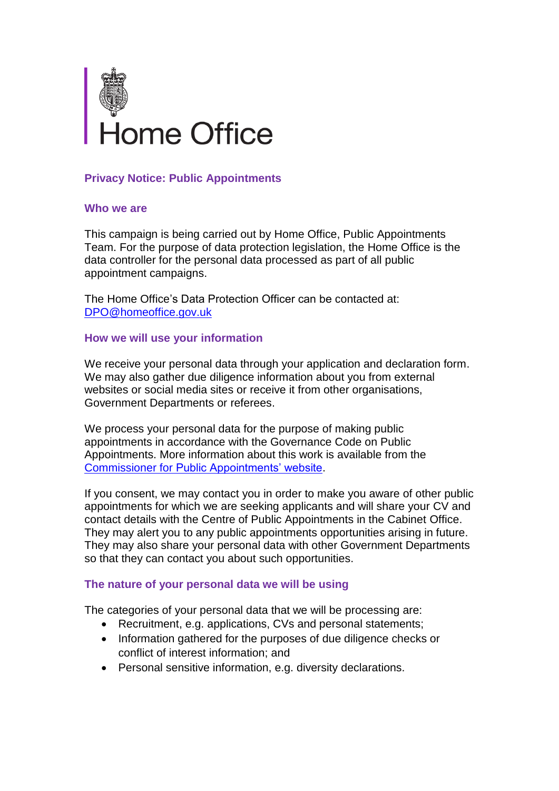

# **Privacy Notice: Public Appointments**

### **Who we are**

This campaign is being carried out by Home Office, Public Appointments Team. For the purpose of data protection legislation, the Home Office is the data controller for the personal data processed as part of all public appointment campaigns.

The Home Office's Data Protection Officer can be contacted at: [DPO@homeoffice.gov.uk](mailto:DPO@homeoffice.gov.uk)

### **How we will use your information**

We receive your personal data through your application and declaration form. We may also gather due diligence information about you from external websites or social media sites or receive it from other organisations, Government Departments or referees.

We process your personal data for the purpose of making public appointments in accordance with the Governance Code on Public Appointments. More information about this work is available from the Commissioner for [Public Appointments' website.](https://publicappointmentscommissioner.independent.gov.uk/)

If you consent, we may contact you in order to make you aware of other public appointments for which we are seeking applicants and will share your CV and contact details with the Centre of Public Appointments in the Cabinet Office. They may alert you to any public appointments opportunities arising in future. They may also share your personal data with other Government Departments so that they can contact you about such opportunities.

### **The nature of your personal data we will be using**

The categories of your personal data that we will be processing are:

- Recruitment, e.g. applications, CVs and personal statements;
- Information gathered for the purposes of due diligence checks or conflict of interest information; and
- Personal sensitive information, e.g. diversity declarations.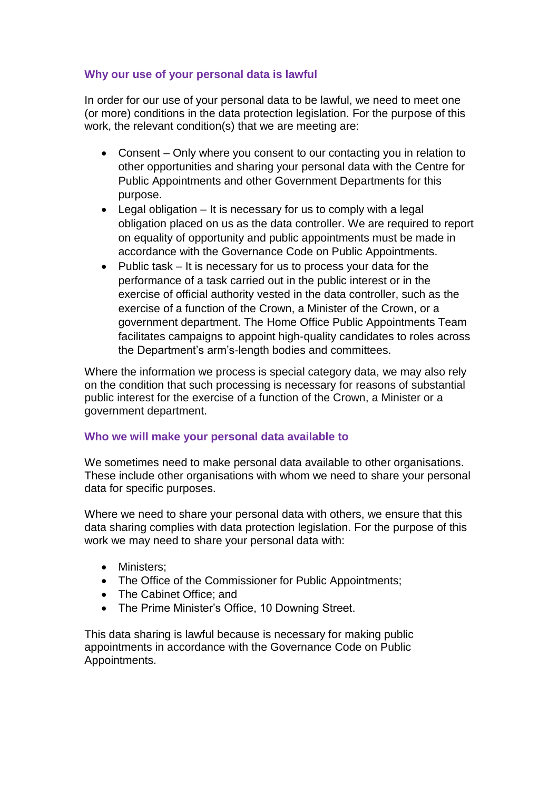# **Why our use of your personal data is lawful**

In order for our use of your personal data to be lawful, we need to meet one (or more) conditions in the data protection legislation. For the purpose of this work, the relevant condition(s) that we are meeting are:

- Consent Only where you consent to our contacting you in relation to other opportunities and sharing your personal data with the Centre for Public Appointments and other Government Departments for this purpose.
- Legal obligation  $-$  It is necessary for us to comply with a legal obligation placed on us as the data controller. We are required to report on equality of opportunity and public appointments must be made in accordance with the Governance Code on Public Appointments.
- Public task It is necessary for us to process your data for the performance of a task carried out in the public interest or in the exercise of official authority vested in the data controller, such as the exercise of a function of the Crown, a Minister of the Crown, or a government department. The Home Office Public Appointments Team facilitates campaigns to appoint high-quality candidates to roles across the Department's arm's-length bodies and committees.

Where the information we process is special category data, we may also rely on the condition that such processing is necessary for reasons of substantial public interest for the exercise of a function of the Crown, a Minister or a government department.

### **Who we will make your personal data available to**

We sometimes need to make personal data available to other organisations. These include other organisations with whom we need to share your personal data for specific purposes.

Where we need to share your personal data with others, we ensure that this data sharing complies with data protection legislation. For the purpose of this work we may need to share your personal data with:

- Ministers:
- The Office of the Commissioner for Public Appointments;
- The Cabinet Office: and
- The Prime Minister's Office, 10 Downing Street.

This data sharing is lawful because is necessary for making public appointments in accordance with the Governance Code on Public Appointments.